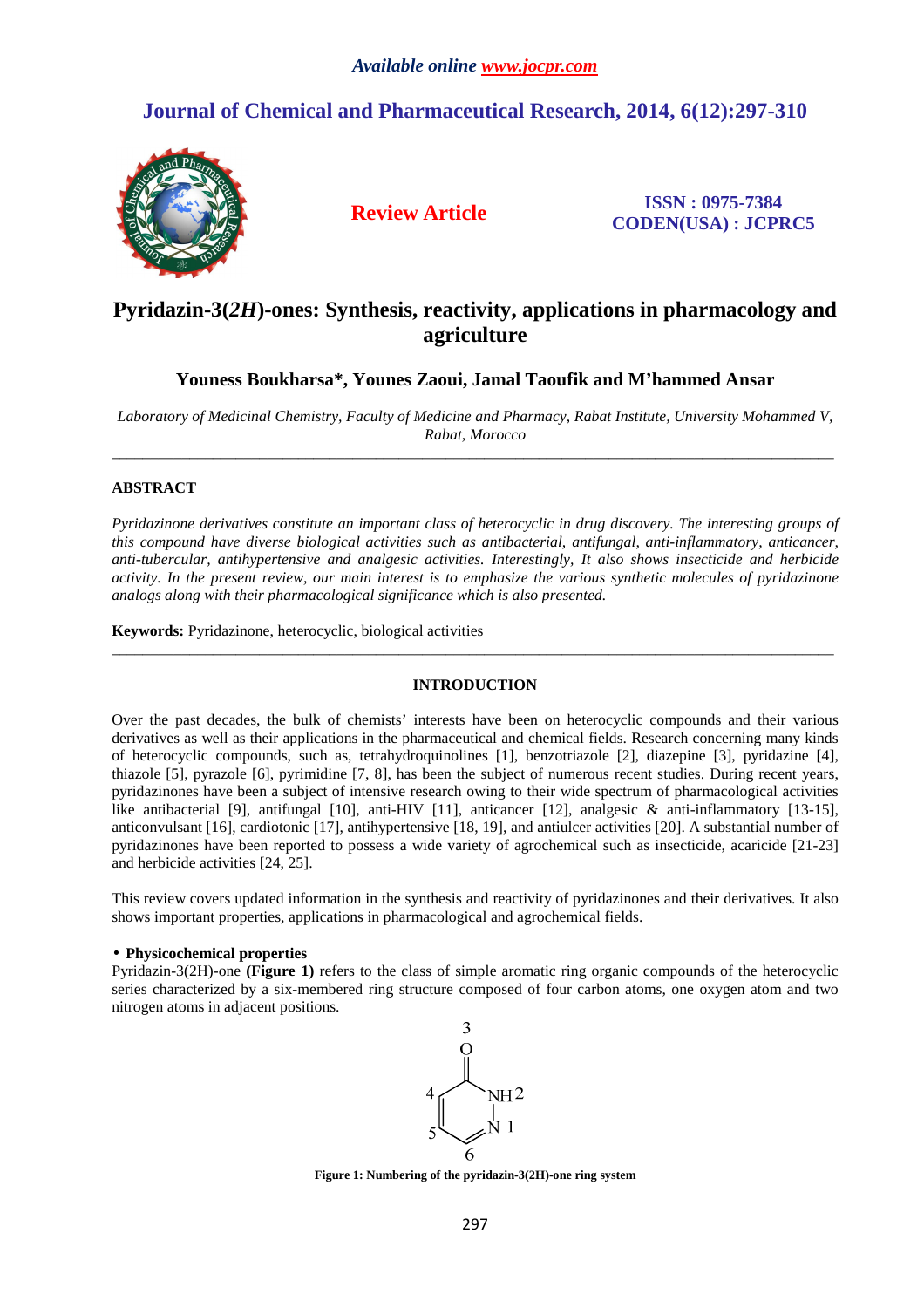# **Journal of Chemical and Pharmaceutical Research, 2014, 6(12):297-310**



**Review Article ISSN : 0975-7384 CODEN(USA) : JCPRC5**

# **Pyridazin-3(***2H***)-ones: Synthesis, reactivity, applications in pharmacology and agriculture**

**Youness Boukharsa\*, Younes Zaoui, Jamal Taoufik and M'hammed Ansar** 

*Laboratory of Medicinal Chemistry, Faculty of Medicine and Pharmacy, Rabat Institute, University Mohammed V, Rabat, Morocco*   $\_$  ,  $\_$  ,  $\_$  ,  $\_$  ,  $\_$  ,  $\_$  ,  $\_$  ,  $\_$  ,  $\_$  ,  $\_$  ,  $\_$  ,  $\_$  ,  $\_$  ,  $\_$  ,  $\_$  ,  $\_$  ,  $\_$  ,  $\_$  ,  $\_$  ,  $\_$  ,  $\_$  ,  $\_$  ,  $\_$  ,  $\_$  ,  $\_$  ,  $\_$  ,  $\_$  ,  $\_$  ,  $\_$  ,  $\_$  ,  $\_$  ,  $\_$  ,  $\_$  ,  $\_$  ,  $\_$  ,  $\_$  ,  $\_$  ,

# **ABSTRACT**

*Pyridazinone derivatives constitute an important class of heterocyclic in drug discovery. The interesting groups of this compound have diverse biological activities such as antibacterial, antifungal, anti-inflammatory, anticancer, anti-tubercular, antihypertensive and analgesic activities. Interestingly, It also shows insecticide and herbicide activity. In the present review, our main interest is to emphasize the various synthetic molecules of pyridazinone analogs along with their pharmacological significance which is also presented.* 

**Keywords:** Pyridazinone, heterocyclic, biological activities

# **INTRODUCTION**

\_\_\_\_\_\_\_\_\_\_\_\_\_\_\_\_\_\_\_\_\_\_\_\_\_\_\_\_\_\_\_\_\_\_\_\_\_\_\_\_\_\_\_\_\_\_\_\_\_\_\_\_\_\_\_\_\_\_\_\_\_\_\_\_\_\_\_\_\_\_\_\_\_\_\_\_\_\_\_\_\_\_\_\_\_\_\_\_\_\_\_\_\_

Over the past decades, the bulk of chemists' interests have been on heterocyclic compounds and their various derivatives as well as their applications in the pharmaceutical and chemical fields. Research concerning many kinds of heterocyclic compounds, such as, tetrahydroquinolines [1], benzotriazole [2], diazepine [3], pyridazine [4], thiazole [5], pyrazole [6], pyrimidine [7, 8], has been the subject of numerous recent studies. During recent years, pyridazinones have been a subject of intensive research owing to their wide spectrum of pharmacological activities like antibacterial [9], antifungal [10], anti-HIV [11], anticancer [12], analgesic & anti-inflammatory [13-15], anticonvulsant [16], cardiotonic [17], antihypertensive [18, 19], and antiulcer activities [20]. A substantial number of pyridazinones have been reported to possess a wide variety of agrochemical such as insecticide, acaricide [21-23] and herbicide activities [24, 25].

This review covers updated information in the synthesis and reactivity of pyridazinones and their derivatives. It also shows important properties, applications in pharmacological and agrochemical fields.

# • **Physicochemical properties**

Pyridazin-3(2H)-one **(Figure 1)** refers to the class of simple aromatic ring organic compounds of the heterocyclic series characterized by a six-membered ring structure composed of four carbon atoms, one oxygen atom and two nitrogen atoms in adjacent positions.



**Figure 1: Numbering of the pyridazin-3(2H)-one ring system**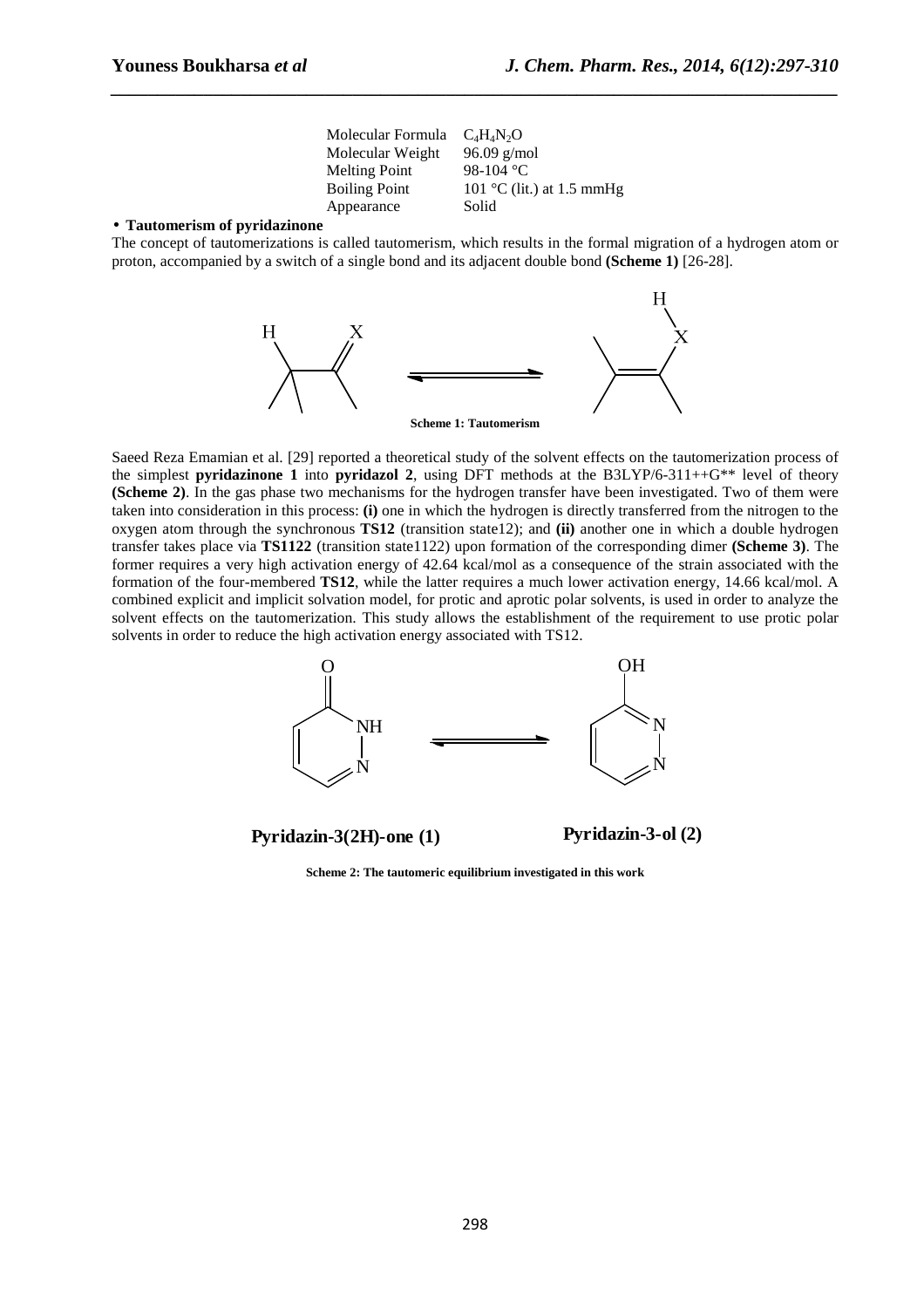Molecular Formula  $C_4H_4N_2O$ <br>Molecular Weight 96.09 g/mol Molecular Weight Melting Point 98-104  $\degree$ C Boiling Point  $101 °C$  (lit.) at 1.5 mmHg Appearance Solid

*\_\_\_\_\_\_\_\_\_\_\_\_\_\_\_\_\_\_\_\_\_\_\_\_\_\_\_\_\_\_\_\_\_\_\_\_\_\_\_\_\_\_\_\_\_\_\_\_\_\_\_\_\_\_\_\_\_\_\_\_\_\_\_\_\_\_\_\_\_\_\_\_\_\_\_\_\_\_*

#### • **Tautomerism of pyridazinone**

The concept of tautomerizations is called tautomerism, which results in the formal migration of a hydrogen atom or proton, accompanied by a switch of a single bond and its adjacent double bond **(Scheme 1)** [26-28].



Saeed Reza Emamian et al. [29] reported a theoretical study of the solvent effects on the tautomerization process of the simplest **pyridazinone 1** into **pyridazol 2**, using DFT methods at the B3LYP/6-311++G\*\* level of theory **(Scheme 2)**. In the gas phase two mechanisms for the hydrogen transfer have been investigated. Two of them were taken into consideration in this process: **(i)** one in which the hydrogen is directly transferred from the nitrogen to the oxygen atom through the synchronous **TS12** (transition state12); and **(ii)** another one in which a double hydrogen transfer takes place via **TS1122** (transition state1122) upon formation of the corresponding dimer **(Scheme 3)**. The former requires a very high activation energy of 42.64 kcal/mol as a consequence of the strain associated with the formation of the four-membered **TS12**, while the latter requires a much lower activation energy, 14.66 kcal/mol. A combined explicit and implicit solvation model, for protic and aprotic polar solvents, is used in order to analyze the solvent effects on the tautomerization. This study allows the establishment of the requirement to use protic polar solvents in order to reduce the high activation energy associated with TS12.



**Pyridazin-3(2H)-one (1) Pyridazin-3-ol (2)**

**Scheme 2: The tautomeric equilibrium investigated in this work**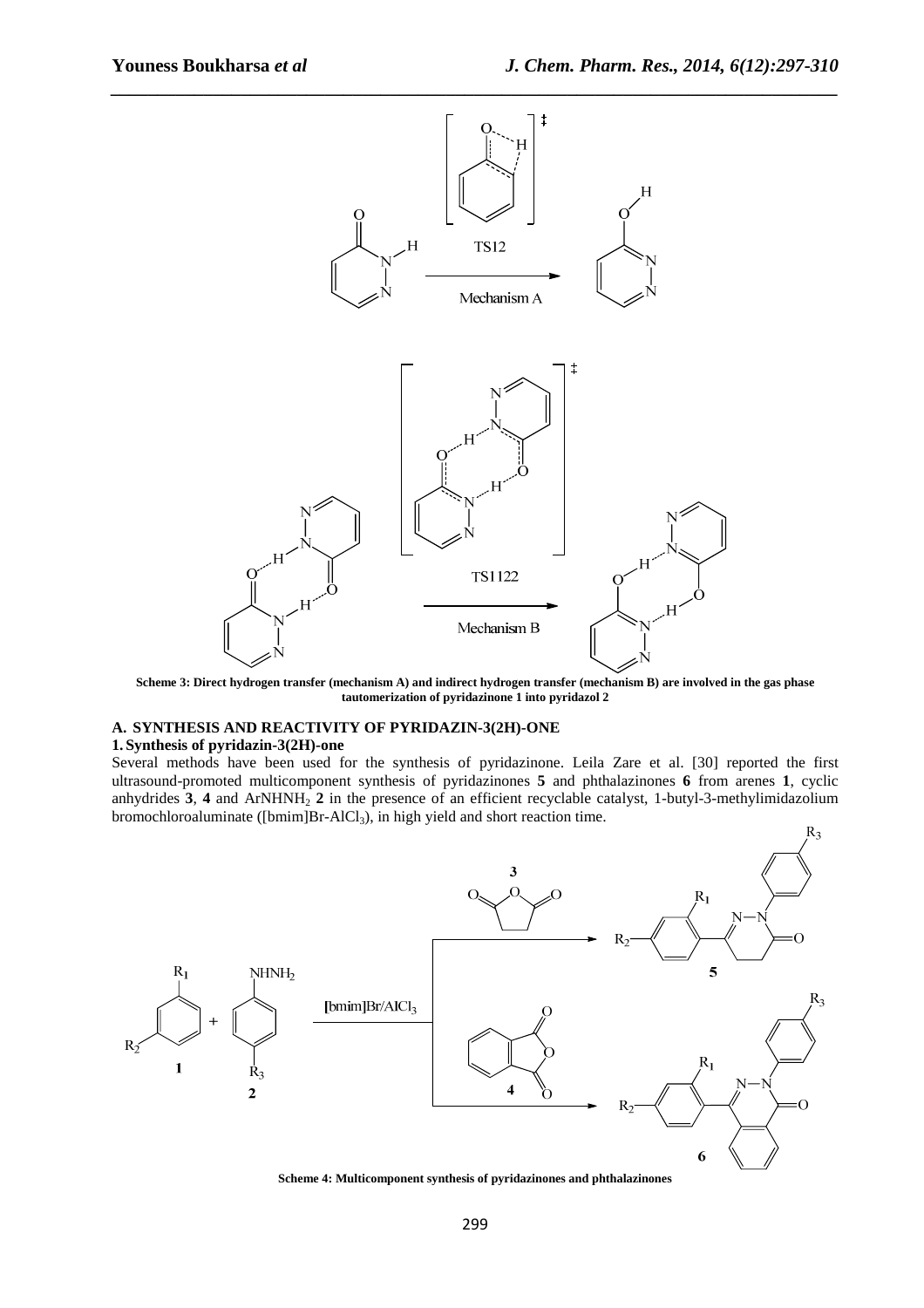R2



*\_\_\_\_\_\_\_\_\_\_\_\_\_\_\_\_\_\_\_\_\_\_\_\_\_\_\_\_\_\_\_\_\_\_\_\_\_\_\_\_\_\_\_\_\_\_\_\_\_\_\_\_\_\_\_\_\_\_\_\_\_\_\_\_\_\_\_\_\_\_\_\_\_\_\_\_\_\_*

**Scheme 3: Direct hydrogen transfer (mechanism A) and indirect hydrogen transfer (mechanism B) are involved in the gas phase tautomerization of pyridazinone 1 into pyridazol 2** 

# **A. SYNTHESIS AND REACTIVITY OF PYRIDAZIN-3(2H)-ONE**

#### **1. Synthesis of pyridazin-3(2H)-one**

Several methods have been used for the synthesis of pyridazinone. Leila Zare et al. [30] reported the first ultrasound-promoted multicomponent synthesis of pyridazinones **5** and phthalazinones **6** from arenes **1**, cyclic anhydrides 3, 4 and ArNHNH<sub>2</sub> 2 in the presence of an efficient recyclable catalyst, 1-butyl-3-methylimidazolium bromochloroaluminate ([bmim]Br-AlCl<sub>3</sub>), in high yield and short reaction time.



**Scheme 4: Multicomponent synthesis of pyridazinones and phthalazinones**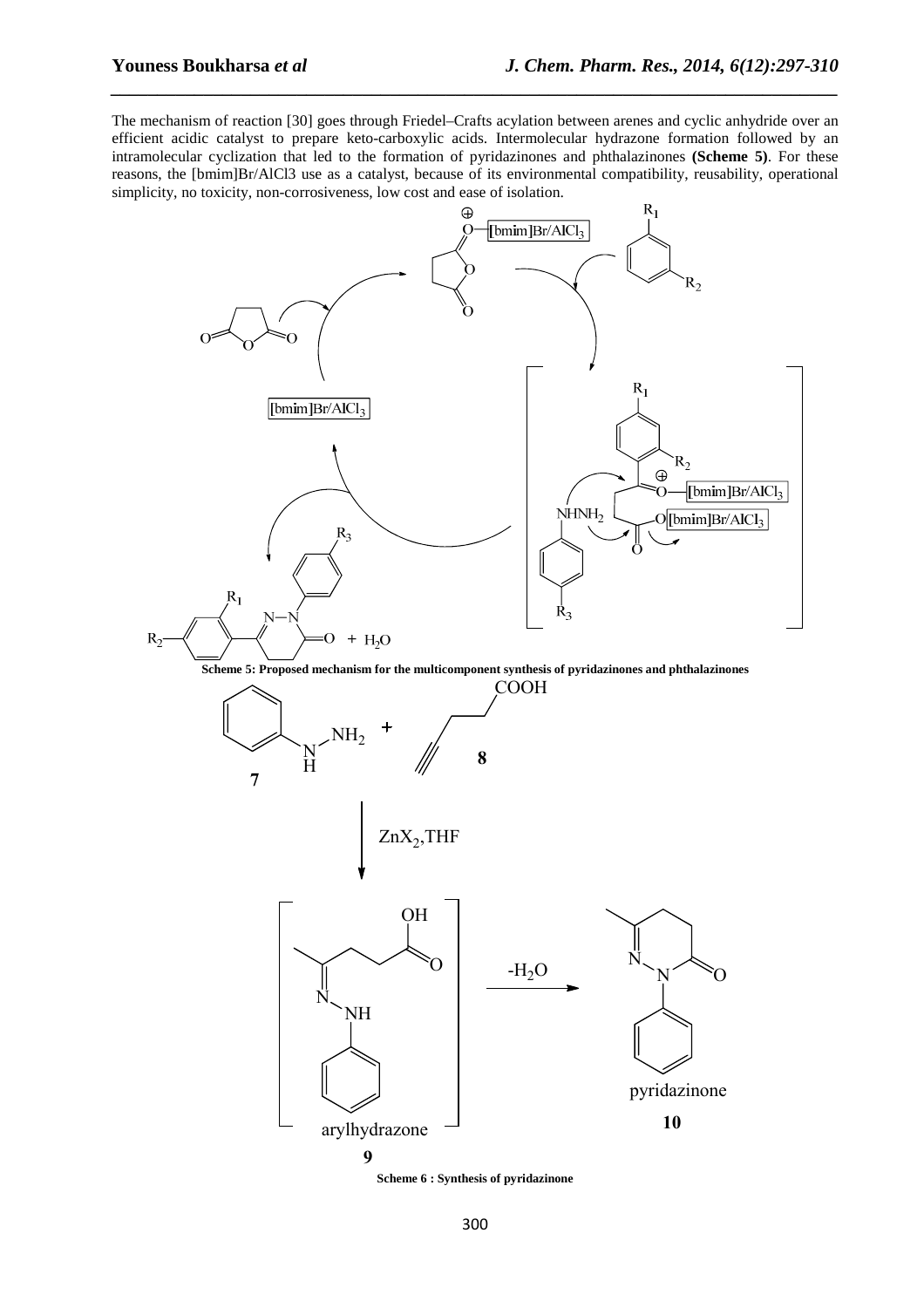The mechanism of reaction [30] goes through Friedel–Crafts acylation between arenes and cyclic anhydride over an efficient acidic catalyst to prepare keto-carboxylic acids. Intermolecular hydrazone formation followed by an intramolecular cyclization that led to the formation of pyridazinones and phthalazinones **(Scheme 5)**. For these reasons, the [bmim]Br/AlCl3 use as a catalyst, because of its environmental compatibility, reusability, operational simplicity, no toxicity, non-corrosiveness, low cost and ease of isolation.

*\_\_\_\_\_\_\_\_\_\_\_\_\_\_\_\_\_\_\_\_\_\_\_\_\_\_\_\_\_\_\_\_\_\_\_\_\_\_\_\_\_\_\_\_\_\_\_\_\_\_\_\_\_\_\_\_\_\_\_\_\_\_\_\_\_\_\_\_\_\_\_\_\_\_\_\_\_\_*



**Scheme 5: Proposed mechanism for the multicomponent synthesis of pyridazinones and phthalazinones** 



**Scheme 6 : Synthesis of pyridazinone**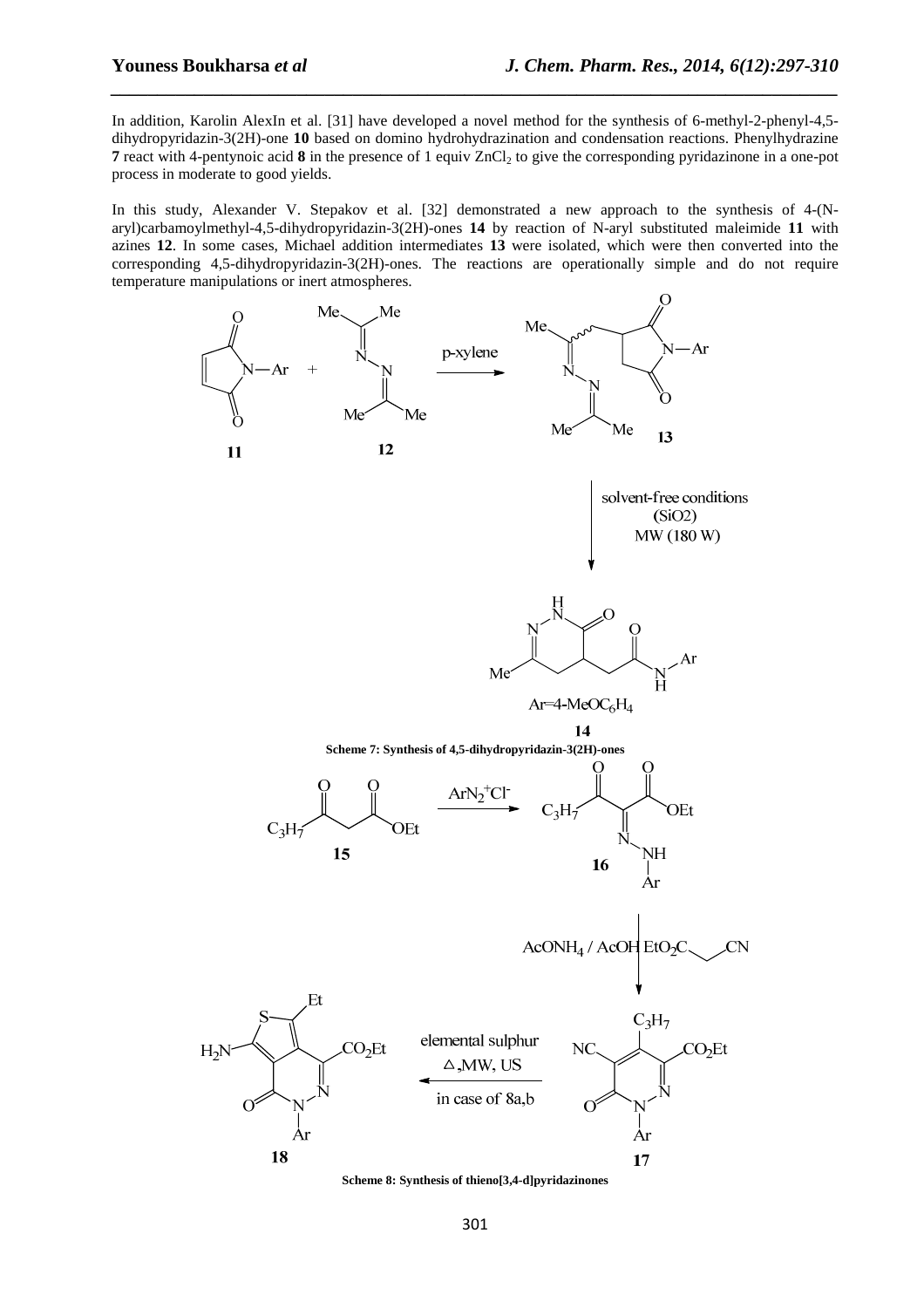In addition, Karolin AlexIn et al. [31] have developed a novel method for the synthesis of 6-methyl-2-phenyl-4,5 dihydropyridazin-3(2H)-one **10** based on domino hydrohydrazination and condensation reactions. Phenylhydrazine **7** react with 4-pentynoic acid **8** in the presence of 1 equiv  $ZnCl_2$  to give the corresponding pyridazinone in a one-pot process in moderate to good yields.

*\_\_\_\_\_\_\_\_\_\_\_\_\_\_\_\_\_\_\_\_\_\_\_\_\_\_\_\_\_\_\_\_\_\_\_\_\_\_\_\_\_\_\_\_\_\_\_\_\_\_\_\_\_\_\_\_\_\_\_\_\_\_\_\_\_\_\_\_\_\_\_\_\_\_\_\_\_\_*

In this study, Alexander V. Stepakov et al. [32] demonstrated a new approach to the synthesis of 4-(Naryl)carbamoylmethyl-4,5-dihydropyridazin-3(2H)-ones **14** by reaction of N-aryl substituted maleimide **11** with azines **12**. In some cases, Michael addition intermediates **13** were isolated, which were then converted into the corresponding 4,5-dihydropyridazin-3(2H)-ones. The reactions are operationally simple and do not require temperature manipulations or inert atmospheres.



**Scheme 8: Synthesis of thieno[3,4-d]pyridazinones**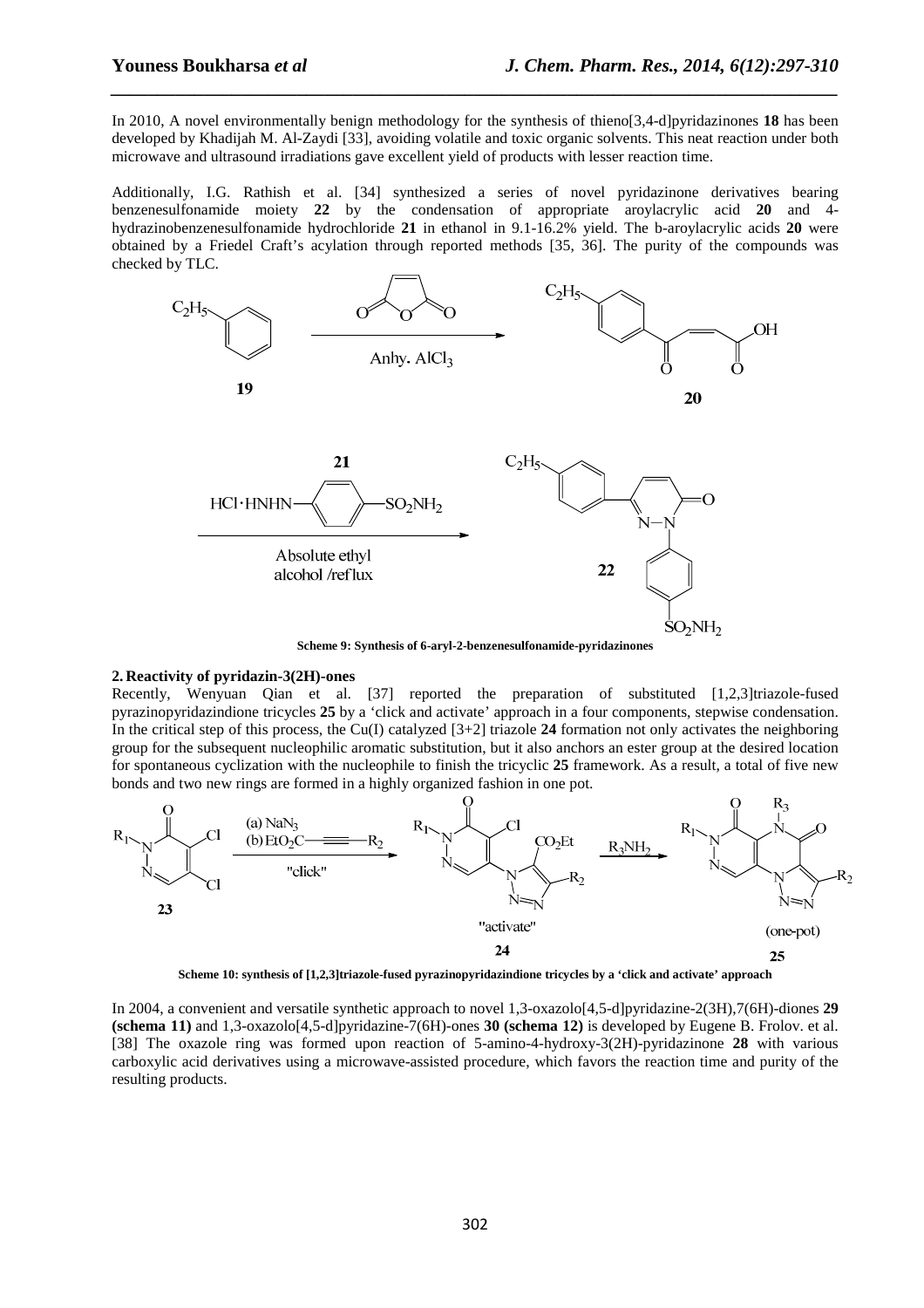In 2010, A novel environmentally benign methodology for the synthesis of thieno[3,4-d]pyridazinones **18** has been developed by Khadijah M. Al-Zaydi [33], avoiding volatile and toxic organic solvents. This neat reaction under both microwave and ultrasound irradiations gave excellent yield of products with lesser reaction time.

*\_\_\_\_\_\_\_\_\_\_\_\_\_\_\_\_\_\_\_\_\_\_\_\_\_\_\_\_\_\_\_\_\_\_\_\_\_\_\_\_\_\_\_\_\_\_\_\_\_\_\_\_\_\_\_\_\_\_\_\_\_\_\_\_\_\_\_\_\_\_\_\_\_\_\_\_\_\_*

Additionally, I.G. Rathish et al. [34] synthesized a series of novel pyridazinone derivatives bearing benzenesulfonamide moiety **22** by the condensation of appropriate aroylacrylic acid **20** and 4 hydrazinobenzenesulfonamide hydrochloride **21** in ethanol in 9.1-16.2% yield. The b-aroylacrylic acids **20** were obtained by a Friedel Craft's acylation through reported methods [35, 36]. The purity of the compounds was checked by TLC.



**Scheme 9: Synthesis of 6-aryl-2-benzenesulfonamide-pyridazinones** 

## **2. Reactivity of pyridazin-3(2H)-ones**

Recently, Wenyuan Qian et al. [37] reported the preparation of substituted [1,2,3]triazole-fused pyrazinopyridazindione tricycles **25** by a 'click and activate' approach in a four components, stepwise condensation. In the critical step of this process, the Cu(I) catalyzed [3+2] triazole **24** formation not only activates the neighboring group for the subsequent nucleophilic aromatic substitution, but it also anchors an ester group at the desired location for spontaneous cyclization with the nucleophile to finish the tricyclic **25** framework. As a result, a total of five new bonds and two new rings are formed in a highly organized fashion in one pot.



**Scheme 10: synthesis of [1,2,3]triazole-fused pyrazinopyridazindione tricycles by a 'click and activate' approach** 

In 2004, a convenient and versatile synthetic approach to novel 1,3-oxazolo[4,5-d]pyridazine-2(3H),7(6H)-diones **29 (schema 11)** and 1,3-oxazolo[4,5-d]pyridazine-7(6H)-ones **30 (schema 12)** is developed by Eugene B. Frolov. et al. [38] The oxazole ring was formed upon reaction of 5-amino-4-hydroxy-3(2H)-pyridazinone **28** with various carboxylic acid derivatives using a microwave-assisted procedure, which favors the reaction time and purity of the resulting products.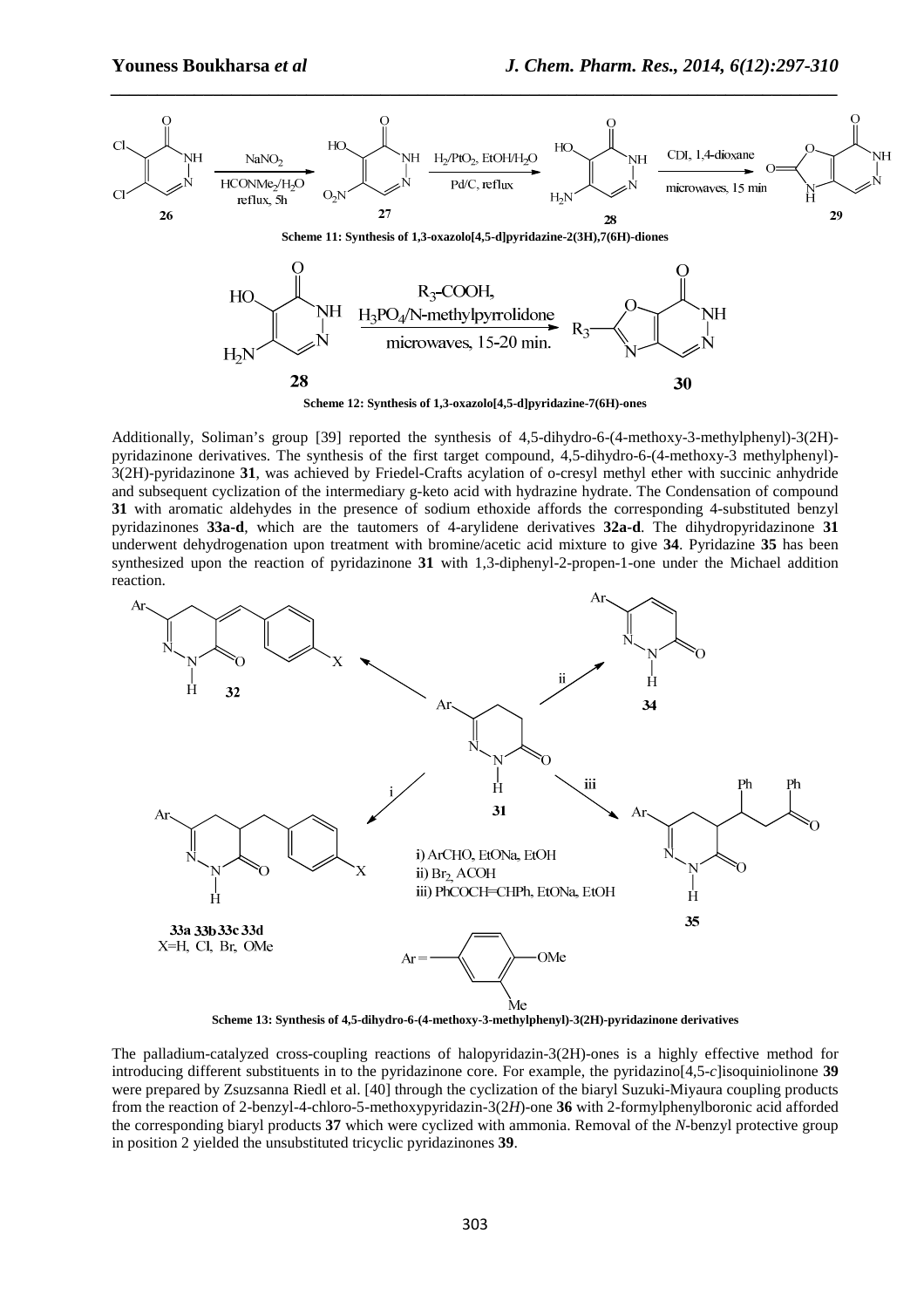

**Scheme 12: Synthesis of 1,3-oxazolo[4,5-d]pyridazine-7(6H)-ones** 

Additionally, Soliman's group [39] reported the synthesis of 4,5-dihydro-6-(4-methoxy-3-methylphenyl)-3(2H) pyridazinone derivatives. The synthesis of the first target compound, 4,5-dihydro-6-(4-methoxy-3 methylphenyl)- 3(2H)-pyridazinone **31**, was achieved by Friedel-Crafts acylation of o-cresyl methyl ether with succinic anhydride and subsequent cyclization of the intermediary g-keto acid with hydrazine hydrate. The Condensation of compound **31** with aromatic aldehydes in the presence of sodium ethoxide affords the corresponding 4-substituted benzyl pyridazinones **33a-d**, which are the tautomers of 4-arylidene derivatives **32a-d**. The dihydropyridazinone **31** underwent dehydrogenation upon treatment with bromine/acetic acid mixture to give **34**. Pyridazine **35** has been synthesized upon the reaction of pyridazinone **31** with 1,3-diphenyl-2-propen-1-one under the Michael addition reaction.



**Scheme 13: Synthesis of 4,5-dihydro-6-(4-methoxy-3-methylphenyl)-3(2H)-pyridazinone derivatives** 

The palladium-catalyzed cross-coupling reactions of halopyridazin-3(2H)-ones is a highly effective method for introducing different substituents in to the pyridazinone core. For example, the pyridazino[4,5-*c*]isoquiniolinone **39** were prepared by Zsuzsanna Riedl et al. [40] through the cyclization of the biaryl Suzuki-Miyaura coupling products from the reaction of 2-benzyl-4-chloro-5-methoxypyridazin-3(2*H*)-one **36** with 2-formylphenylboronic acid afforded the corresponding biaryl products **37** which were cyclized with ammonia. Removal of the *N*-benzyl protective group in position 2 yielded the unsubstituted tricyclic pyridazinones **39**.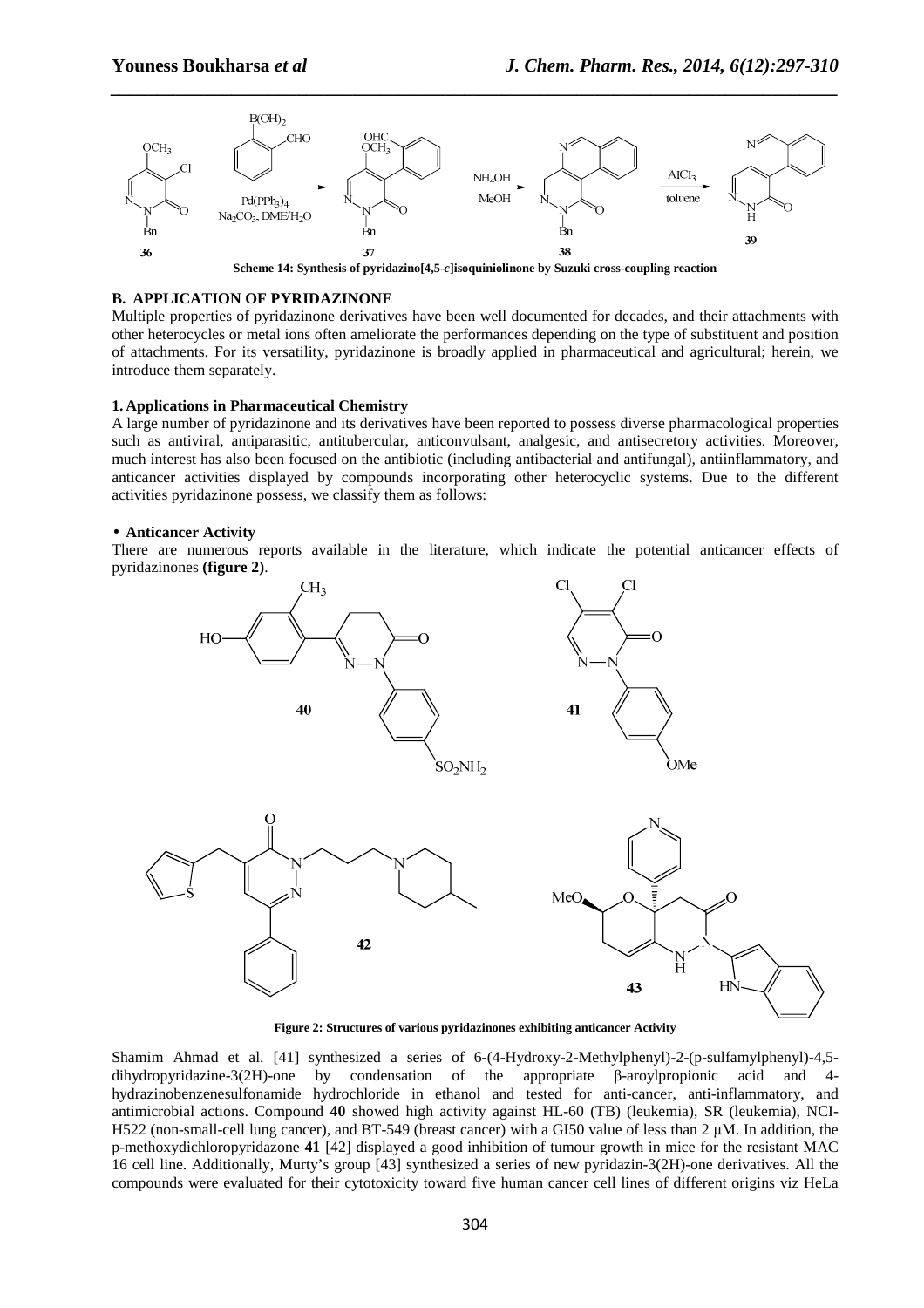

## **B. APPLICATION OF PYRIDAZINONE**

Multiple properties of pyridazinone derivatives have been well documented for decades, and their attachments with other heterocycles or metal ions often ameliorate the performances depending on the type of substituent and position of attachments. For its versatility, pyridazinone is broadly applied in pharmaceutical and agricultural; herein, we introduce them separately.

# **1. Applications in Pharmaceutical Chemistry**

A large number of pyridazinone and its derivatives have been reported to possess diverse pharmacological properties such as antiviral, antiparasitic, antitubercular, anticonvulsant, analgesic, and antisecretory activities. Moreover, much interest has also been focused on the antibiotic (including antibacterial and antifungal), antiinflammatory, and anticancer activities displayed by compounds incorporating other heterocyclic systems. Due to the different activities pyridazinone possess, we classify them as follows:

#### • **Anticancer Activity**

There are numerous reports available in the literature, which indicate the potential anticancer effects of pyridazinones **(figure 2)**.



**Figure 2: Structures of various pyridazinones exhibiting anticancer Activity** 

Shamim Ahmad et al. [41] synthesized a series of 6-(4-Hydroxy-2-Methylphenyl)-2-(p-sulfamylphenyl)-4,5 dihydropyridazine-3(2H)-one by condensation of the appropriate β-aroylpropionic acid and 4 hydrazinobenzenesulfonamide hydrochloride in ethanol and tested for anti-cancer, anti-inflammatory, and antimicrobial actions. Compound **40** showed high activity against HL-60 (TB) (leukemia), SR (leukemia), NCI-H522 (non-small-cell lung cancer), and BT-549 (breast cancer) with a GI50 value of less than 2  $\mu$ M. In addition, the p-methoxydichloropyridazone **41** [42] displayed a good inhibition of tumour growth in mice for the resistant MAC 16 cell line. Additionally, Murty's group [43] synthesized a series of new pyridazin-3(2H)-one derivatives. All the compounds were evaluated for their cytotoxicity toward five human cancer cell lines of different origins viz HeLa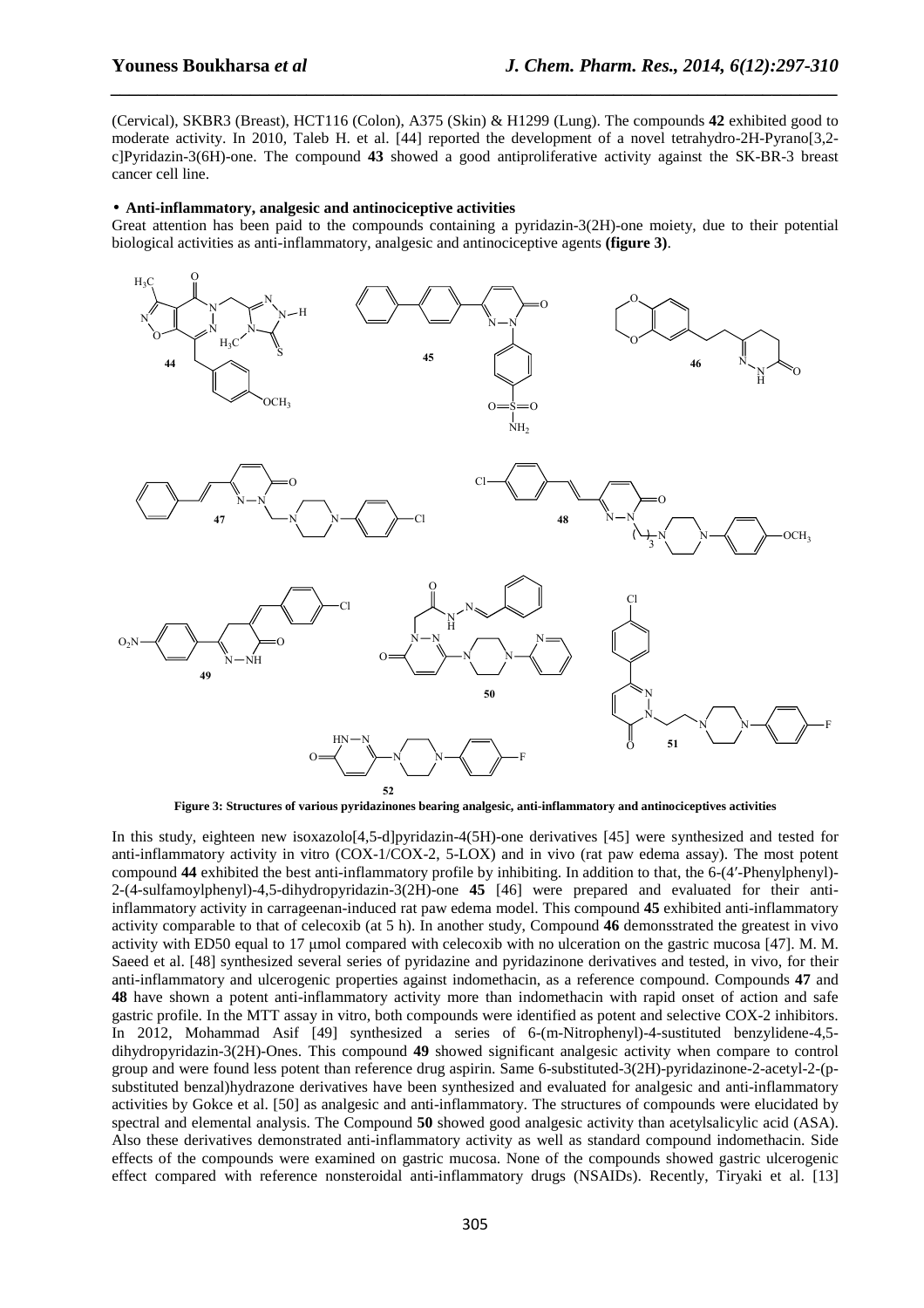(Cervical), SKBR3 (Breast), HCT116 (Colon), A375 (Skin) & H1299 (Lung). The compounds **42** exhibited good to moderate activity. In 2010, Taleb H. et al. [44] reported the development of a novel tetrahydro-2H-Pyrano[3,2 c]Pyridazin-3(6H)-one. The compound **43** showed a good antiproliferative activity against the SK-BR-3 breast cancer cell line.

*\_\_\_\_\_\_\_\_\_\_\_\_\_\_\_\_\_\_\_\_\_\_\_\_\_\_\_\_\_\_\_\_\_\_\_\_\_\_\_\_\_\_\_\_\_\_\_\_\_\_\_\_\_\_\_\_\_\_\_\_\_\_\_\_\_\_\_\_\_\_\_\_\_\_\_\_\_\_*

#### • **Anti-inflammatory, analgesic and antinociceptive activities**

Great attention has been paid to the compounds containing a pyridazin-3(2H)-one moiety, due to their potential biological activities as anti-inflammatory, analgesic and antinociceptive agents **(figure 3)**.



**Figure 3: Structures of various pyridazinones bearing analgesic, anti-inflammatory and antinociceptives activities** 

In this study, eighteen new isoxazolo<sup>[4,5-d]pyridazin-4(5H)</sup>-one derivatives [45] were synthesized and tested for anti-inflammatory activity in vitro (COX-1/COX-2, 5-LOX) and in vivo (rat paw edema assay). The most potent compound **44** exhibited the best anti-inflammatory profile by inhibiting. In addition to that, the 6-(4′-Phenylphenyl)- 2-(4-sulfamoylphenyl)-4,5-dihydropyridazin-3(2H)-one **45** [46] were prepared and evaluated for their antiinflammatory activity in carrageenan-induced rat paw edema model. This compound **45** exhibited anti-inflammatory activity comparable to that of celecoxib (at 5 h). In another study, Compound **46** demonsstrated the greatest in vivo activity with ED50 equal to 17 µmol compared with celecoxib with no ulceration on the gastric mucosa [47]. M. M. Saeed et al. [48] synthesized several series of pyridazine and pyridazinone derivatives and tested, in vivo, for their anti-inflammatory and ulcerogenic properties against indomethacin, as a reference compound. Compounds **47** and **48** have shown a potent anti-inflammatory activity more than indomethacin with rapid onset of action and safe gastric profile. In the MTT assay in vitro, both compounds were identified as potent and selective COX-2 inhibitors. In 2012, Mohammad Asif [49] synthesized a series of 6-(m-Nitrophenyl)-4-sustituted benzylidene-4,5 dihydropyridazin-3(2H)-Ones. This compound **49** showed significant analgesic activity when compare to control group and were found less potent than reference drug aspirin. Same 6-substituted-3(2H)-pyridazinone-2-acetyl-2-(psubstituted benzal)hydrazone derivatives have been synthesized and evaluated for analgesic and anti-inflammatory activities by Gokce et al. [50] as analgesic and anti-inflammatory. The structures of compounds were elucidated by spectral and elemental analysis. The Compound **50** showed good analgesic activity than acetylsalicylic acid (ASA). Also these derivatives demonstrated anti-inflammatory activity as well as standard compound indomethacin. Side effects of the compounds were examined on gastric mucosa. None of the compounds showed gastric ulcerogenic effect compared with reference nonsteroidal anti-inflammatory drugs (NSAIDs). Recently, Tiryaki et al. [13]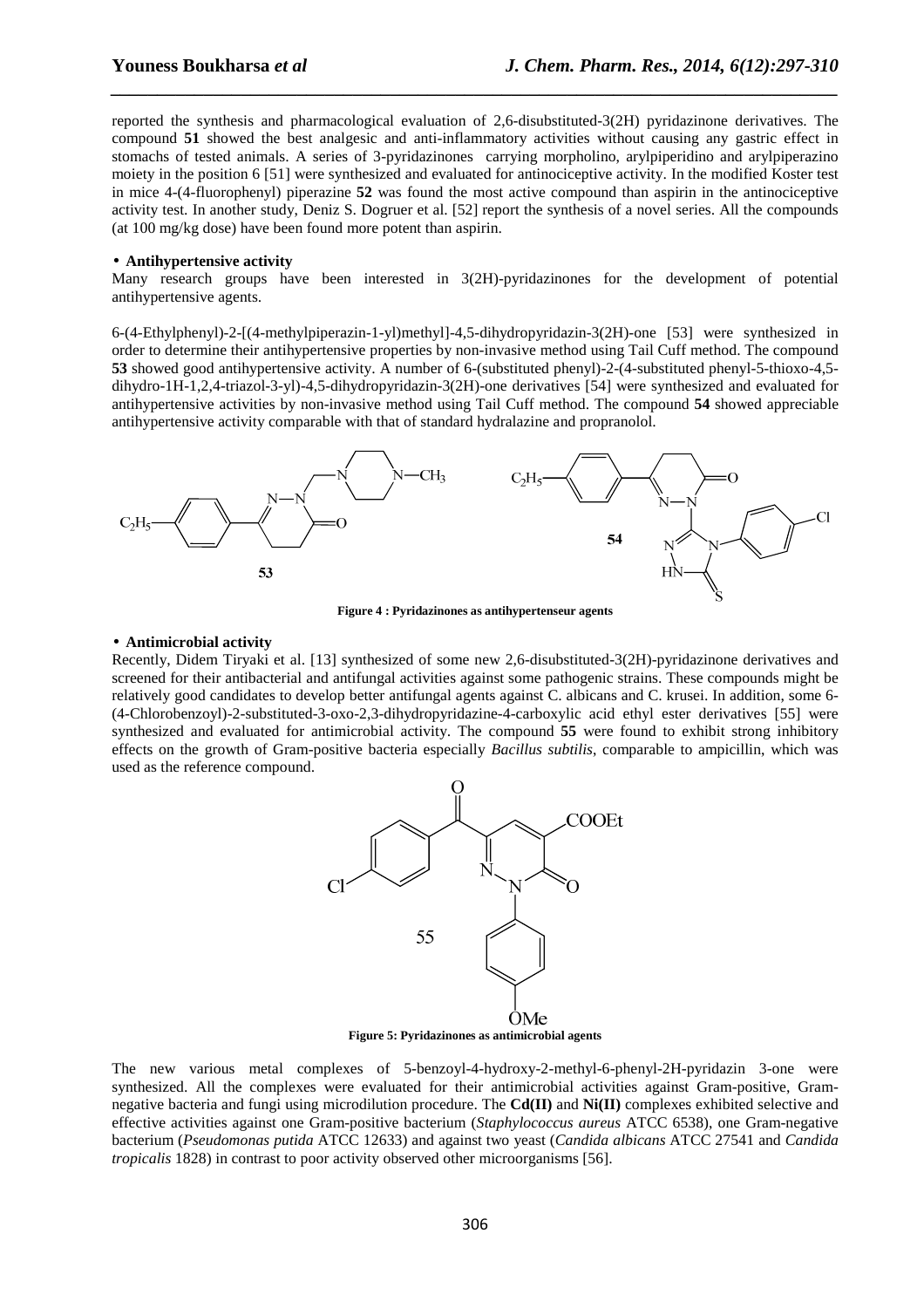reported the synthesis and pharmacological evaluation of 2,6-disubstituted-3(2H) pyridazinone derivatives. The compound **51** showed the best analgesic and anti-inflammatory activities without causing any gastric effect in stomachs of tested animals. A series of 3-pyridazinones carrying morpholino, arylpiperidino and arylpiperazino moiety in the position 6 [51] were synthesized and evaluated for antinociceptive activity. In the modified Koster test in mice 4-(4-fluorophenyl) piperazine **52** was found the most active compound than aspirin in the antinociceptive activity test. In another study, Deniz S. Dogruer et al. [52] report the synthesis of a novel series. All the compounds (at 100 mg/kg dose) have been found more potent than aspirin.

*\_\_\_\_\_\_\_\_\_\_\_\_\_\_\_\_\_\_\_\_\_\_\_\_\_\_\_\_\_\_\_\_\_\_\_\_\_\_\_\_\_\_\_\_\_\_\_\_\_\_\_\_\_\_\_\_\_\_\_\_\_\_\_\_\_\_\_\_\_\_\_\_\_\_\_\_\_\_*

## • **Antihypertensive activity**

Many research groups have been interested in 3(2H)-pyridazinones for the development of potential antihypertensive agents.

6-(4-Ethylphenyl)-2-[(4-methylpiperazin-1-yl)methyl]-4,5-dihydropyridazin-3(2H)-one [53] were synthesized in order to determine their antihypertensive properties by non-invasive method using Tail Cuff method. The compound **53** showed good antihypertensive activity. A number of 6-(substituted phenyl)-2-(4-substituted phenyl-5-thioxo-4,5 dihydro-1H-1,2,4-triazol-3-yl)-4,5-dihydropyridazin-3(2H)-one derivatives [54] were synthesized and evaluated for antihypertensive activities by non-invasive method using Tail Cuff method. The compound **54** showed appreciable antihypertensive activity comparable with that of standard hydralazine and propranolol.



**Figure 4 : Pyridazinones as antihypertenseur agents**

#### • **Antimicrobial activity**

Recently, Didem Tiryaki et al. [13] synthesized of some new 2,6-disubstituted-3(2H)-pyridazinone derivatives and screened for their antibacterial and antifungal activities against some pathogenic strains. These compounds might be relatively good candidates to develop better antifungal agents against C. albicans and C. krusei. In addition, some 6- (4-Chlorobenzoyl)-2-substituted-3-oxo-2,3-dihydropyridazine-4-carboxylic acid ethyl ester derivatives [55] were synthesized and evaluated for antimicrobial activity. The compound **55** were found to exhibit strong inhibitory effects on the growth of Gram-positive bacteria especially *Bacillus subtilis*, comparable to ampicillin, which was used as the reference compound.



**Figure 5: Pyridazinones as antimicrobial agents** 

The new various metal complexes of 5-benzoyl-4-hydroxy-2-methyl-6-phenyl-2H-pyridazin 3-one were synthesized. All the complexes were evaluated for their antimicrobial activities against Gram-positive, Gramnegative bacteria and fungi using microdilution procedure. The **Cd(II)** and **Ni(II)** complexes exhibited selective and effective activities against one Gram-positive bacterium (*Staphylococcus aureus* ATCC 6538), one Gram-negative bacterium (*Pseudomonas putida* ATCC 12633) and against two yeast (*Candida albicans* ATCC 27541 and *Candida tropicalis* 1828) in contrast to poor activity observed other microorganisms [56].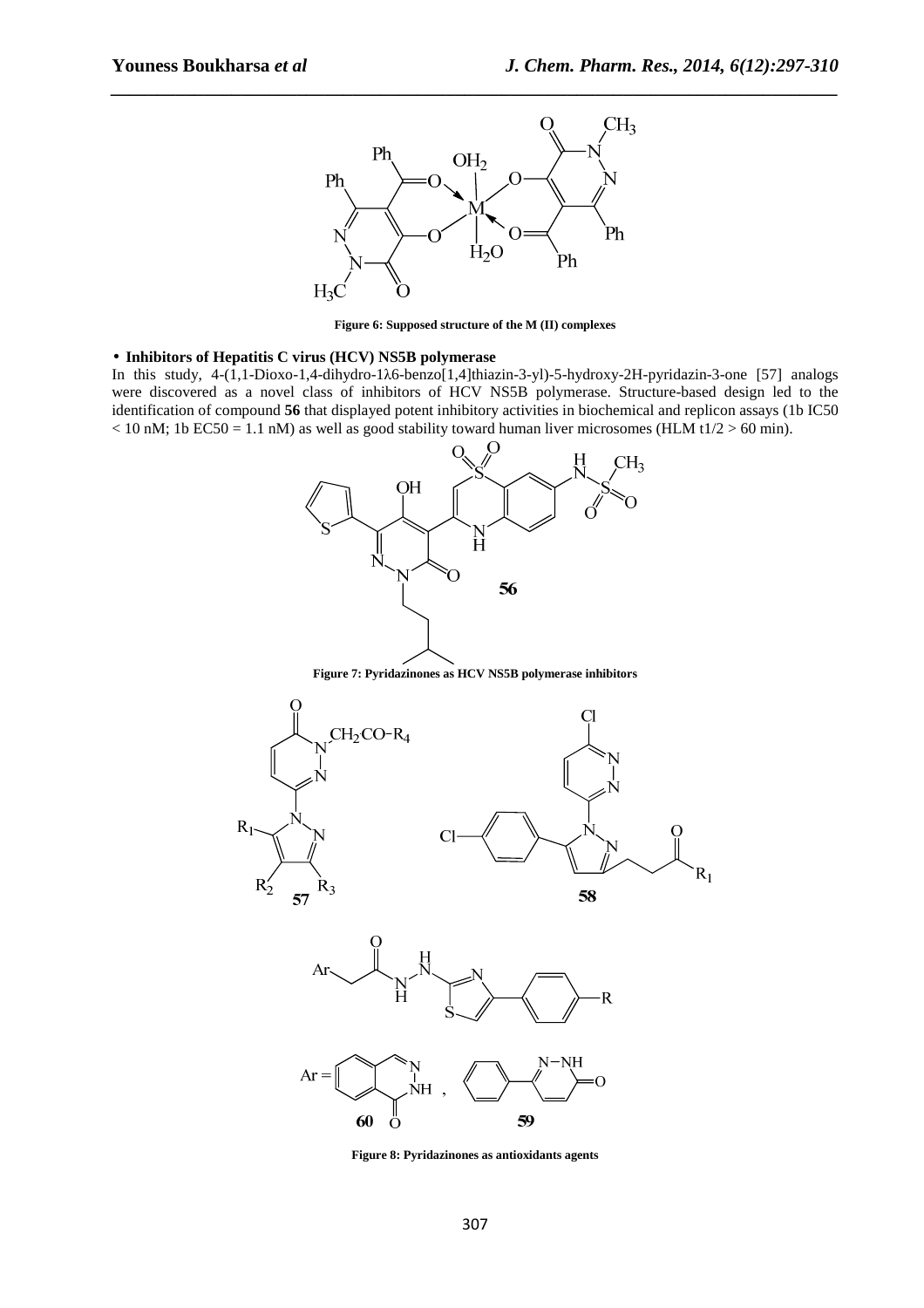

**Figure 6: Supposed structure of the M (II) complexes** 

### • **Inhibitors of Hepatitis C virus (HCV) NS5B polymerase**

In this study, 4-(1,1-Dioxo-1,4-dihydro-1λ6-benzo[1,4]thiazin-3-yl)-5-hydroxy-2H-pyridazin-3-one [57] analogs were discovered as a novel class of inhibitors of HCV NS5B polymerase. Structure-based design led to the identification of compound **56** that displayed potent inhibitory activities in biochemical and replicon assays (1b IC50  $<$  10 nM; 1b EC50 = 1.1 nM) as well as good stability toward human liver microsomes (HLM t1/2 > 60 min).



**Figure 8: Pyridazinones as antioxidants agents**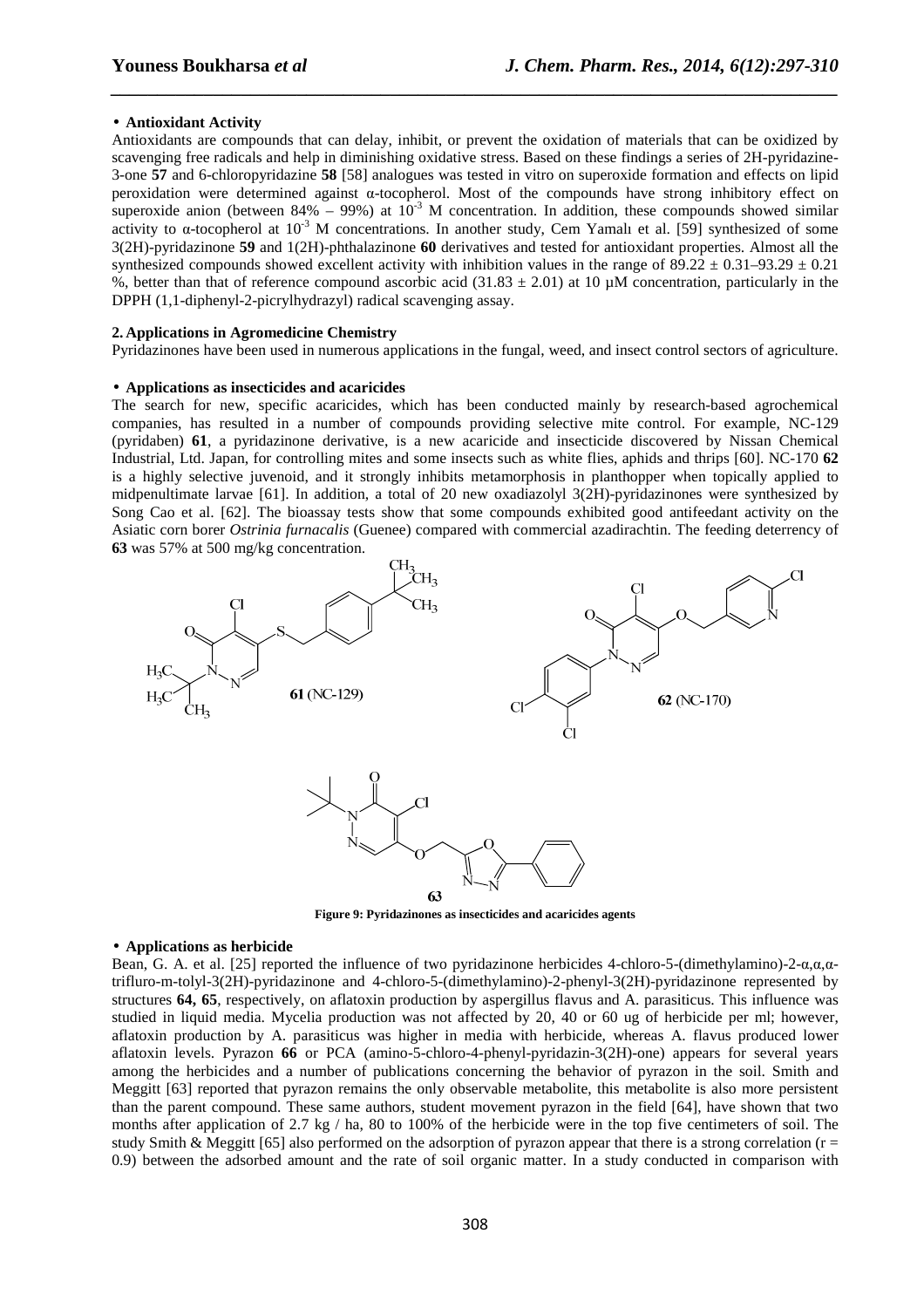#### • **Antioxidant Activity**

Antioxidants are compounds that can delay, inhibit, or prevent the oxidation of materials that can be oxidized by scavenging free radicals and help in diminishing oxidative stress. Based on these findings a series of 2H-pyridazine-3-one **57** and 6-chloropyridazine **58** [58] analogues was tested in vitro on superoxide formation and effects on lipid peroxidation were determined against α-tocopherol. Most of the compounds have strong inhibitory effect on superoxide anion (between 84% – 99%) at  $10^{-3}$  M concentration. In addition, these compounds showed similar activity to  $\alpha$ -tocopherol at 10<sup>-3</sup> M concentrations. In another study, Cem Yamalı et al. [59] synthesized of some 3(2H)-pyridazinone **59** and 1(2H)-phthalazinone **60** derivatives and tested for antioxidant properties. Almost all the synthesized compounds showed excellent activity with inhibition values in the range of  $89.22 \pm 0.31 - 93.29 \pm 0.21$ %, better than that of reference compound ascorbic acid (31.83  $\pm$  2.01) at 10  $\mu$ M concentration, particularly in the DPPH (1,1-diphenyl-2-picrylhydrazyl) radical scavenging assay.

*\_\_\_\_\_\_\_\_\_\_\_\_\_\_\_\_\_\_\_\_\_\_\_\_\_\_\_\_\_\_\_\_\_\_\_\_\_\_\_\_\_\_\_\_\_\_\_\_\_\_\_\_\_\_\_\_\_\_\_\_\_\_\_\_\_\_\_\_\_\_\_\_\_\_\_\_\_\_*

# **2. Applications in Agromedicine Chemistry**

Pyridazinones have been used in numerous applications in the fungal, weed, and insect control sectors of agriculture.

#### • **Applications as insecticides and acaricides**

The search for new, specific acaricides, which has been conducted mainly by research-based agrochemical companies, has resulted in a number of compounds providing selective mite control. For example, NC-129 (pyridaben) **61**, a pyridazinone derivative, is a new acaricide and insecticide discovered by Nissan Chemical Industrial, Ltd. Japan, for controlling mites and some insects such as white flies, aphids and thrips [60]. NC-170 **62** is a highly selective juvenoid, and it strongly inhibits metamorphosis in planthopper when topically applied to midpenultimate larvae [61]. In addition, a total of 20 new oxadiazolyl 3(2H)-pyridazinones were synthesized by Song Cao et al. [62]. The bioassay tests show that some compounds exhibited good antifeedant activity on the Asiatic corn borer *Ostrinia furnacalis* (Guenee) compared with commercial azadirachtin. The feeding deterrency of **63** was 57% at 500 mg/kg concentration.



**Figure 9: Pyridazinones as insecticides and acaricides agents** 

#### • **Applications as herbicide**

Bean, G. A. et al. [25] reported the influence of two pyridazinone herbicides 4-chloro-5-(dimethylamino)-2-α,α,αtrifluro-m-tolyl-3(2H)-pyridazinone and 4-chloro-5-(dimethylamino)-2-phenyl-3(2H)-pyridazinone represented by structures **64, 65**, respectively, on aflatoxin production by aspergillus flavus and A. parasiticus. This influence was studied in liquid media. Mycelia production was not affected by 20, 40 or 60 ug of herbicide per ml; however, aflatoxin production by A. parasiticus was higher in media with herbicide, whereas A. flavus produced lower aflatoxin levels. Pyrazon **66** or PCA (amino-5-chloro-4-phenyl-pyridazin-3(2H)-one) appears for several years among the herbicides and a number of publications concerning the behavior of pyrazon in the soil. Smith and Meggitt [63] reported that pyrazon remains the only observable metabolite, this metabolite is also more persistent than the parent compound. These same authors, student movement pyrazon in the field [64], have shown that two months after application of 2.7 kg / ha, 80 to 100% of the herbicide were in the top five centimeters of soil. The study Smith & Meggitt [65] also performed on the adsorption of pyrazon appear that there is a strong correlation ( $r =$ 0.9) between the adsorbed amount and the rate of soil organic matter. In a study conducted in comparison with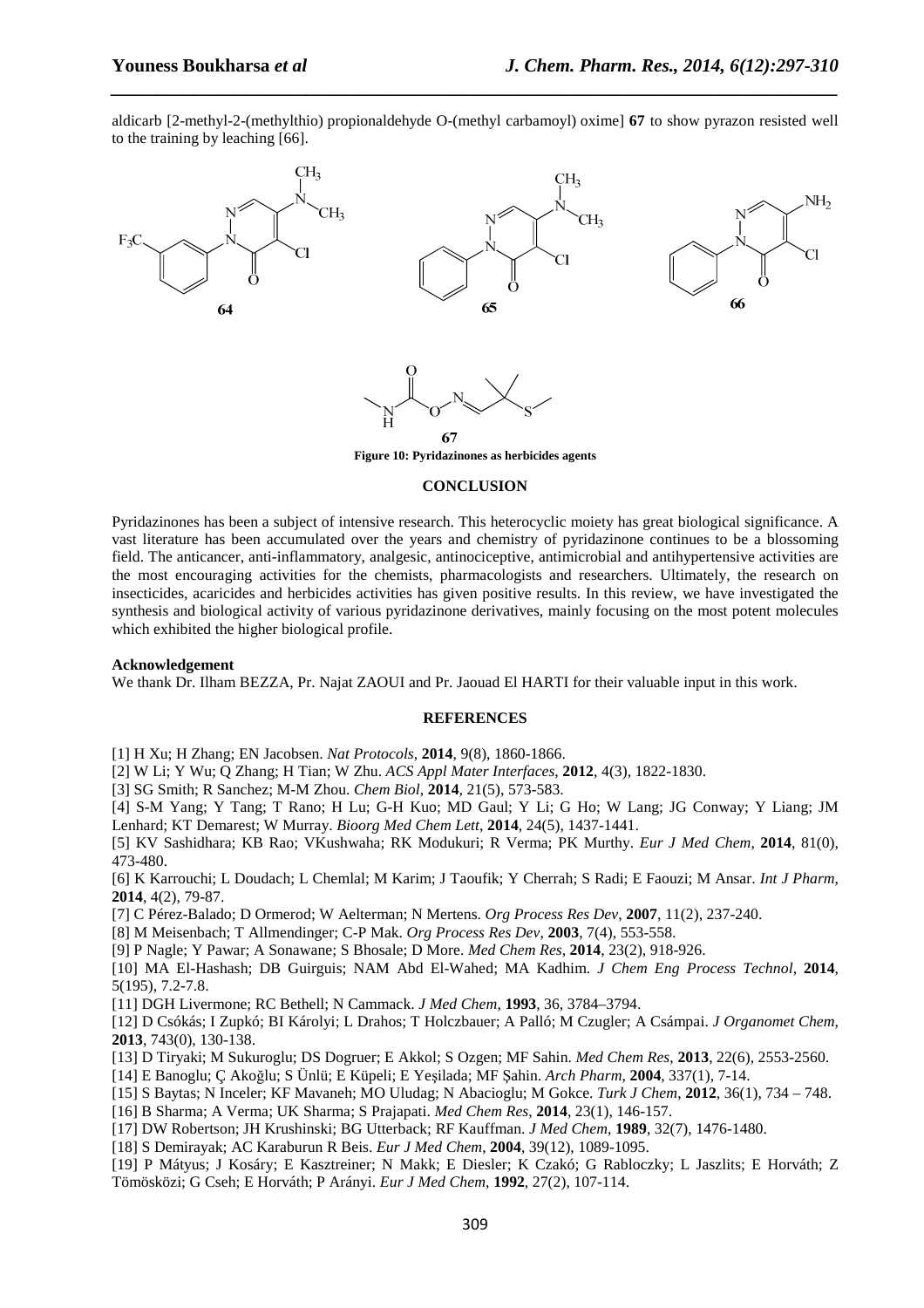aldicarb [2-methyl-2-(methylthio) propionaldehyde O-(methyl carbamoyl) oxime] **67** to show pyrazon resisted well to the training by leaching [66].

*\_\_\_\_\_\_\_\_\_\_\_\_\_\_\_\_\_\_\_\_\_\_\_\_\_\_\_\_\_\_\_\_\_\_\_\_\_\_\_\_\_\_\_\_\_\_\_\_\_\_\_\_\_\_\_\_\_\_\_\_\_\_\_\_\_\_\_\_\_\_\_\_\_\_\_\_\_\_*



**Figure 10: Pyridazinones as herbicides agents** 

#### **CONCLUSION**

Pyridazinones has been a subject of intensive research. This heterocyclic moiety has great biological significance. A vast literature has been accumulated over the years and chemistry of pyridazinone continues to be a blossoming field. The anticancer, anti-inflammatory, analgesic, antinociceptive, antimicrobial and antihypertensive activities are the most encouraging activities for the chemists, pharmacologists and researchers. Ultimately, the research on insecticides, acaricides and herbicides activities has given positive results. In this review, we have investigated the synthesis and biological activity of various pyridazinone derivatives, mainly focusing on the most potent molecules which exhibited the higher biological profile.

#### **Acknowledgement**

We thank Dr. Ilham BEZZA, Pr. Najat ZAOUI and Pr. Jaouad El HARTI for their valuable input in this work.

#### **REFERENCES**

[1] H Xu; H Zhang; EN Jacobsen. *Nat Protocols*, **2014**, 9(8), 1860-1866.

[2] W Li; Y Wu; Q Zhang; H Tian; W Zhu. *ACS Appl Mater Interfaces*, **2012**, 4(3), 1822-1830.

[3] SG Smith; R Sanchez; M-M Zhou. *Chem Biol*, **2014**, 21(5), 573-583.

[4] S-M Yang; Y Tang; T Rano; H Lu; G-H Kuo; MD Gaul; Y Li; G Ho; W Lang; JG Conway; Y Liang; JM Lenhard; KT Demarest; W Murray. *Bioorg Med Chem Lett*, **2014**, 24(5), 1437-1441.

[5] KV Sashidhara; KB Rao; VKushwaha; RK Modukuri; R Verma; PK Murthy. *Eur J Med Chem*, **2014**, 81(0), 473-480.

[6] K Karrouchi; L Doudach; L Chemlal; M Karim; J Taoufik; Y Cherrah; S Radi; E Faouzi; M Ansar. *Int J Pharm*, **2014**, 4(2), 79-87.

[7] C Pérez-Balado; D Ormerod; W Aelterman; N Mertens. *Org Process Res Dev*, **2007**, 11(2), 237-240.

[8] M Meisenbach; T Allmendinger; C-P Mak. *Org Process Res Dev*, **2003**, 7(4), 553-558.

[9] P Nagle; Y Pawar; A Sonawane; S Bhosale; D More. *Med Chem Res*, **2014**, 23(2), 918-926.

[10] MA El-Hashash; DB Guirguis; NAM Abd El-Wahed; MA Kadhim. *J Chem Eng Process Technol*, **2014**, 5(195), 7.2-7.8.

[11] DGH Livermone; RC Bethell; N Cammack. *J Med Chem*, **1993**, 36, 3784–3794.

[12] D Csókás; I Zupkó; BI Károlyi; L Drahos; T Holczbauer; A Palló; M Czugler; A Csámpai. *J Organomet Chem*, **2013**, 743(0), 130-138.

[13] D Tiryaki; M Sukuroglu; DS Dogruer; E Akkol; S Ozgen; MF Sahin. *Med Chem Res*, **2013**, 22(6), 2553-2560.

[14] E Banoglu; Ç Akoğlu; S Ünlü; E Küpeli; E Yeşilada; MF Şahin. *Arch Pharm*, **2004**, 337(1), 7-14.

[15] S Baytas; N Inceler; KF Mavaneh; MO Uludag; N Abacioglu; M Gokce. *Turk J Chem*, **2012**, 36(1), 734 – 748.

[16] B Sharma; A Verma; UK Sharma; S Prajapati. *Med Chem Res*, **2014**, 23(1), 146-157.

[17] DW Robertson; JH Krushinski; BG Utterback; RF Kauffman. *J Med Chem*, **1989**, 32(7), 1476-1480.

[18] S Demirayak; AC Karaburun R Beis. *Eur J Med Chem*, **2004**, 39(12), 1089-1095.

[19] P Mátyus; J Kosáry; E Kasztreiner; N Makk; E Diesler; K Czakó; G Rabloczky; L Jaszlits; E Horváth; Z Tömösközi; G Cseh; E Horváth; P Arányi. *Eur J Med Chem*, **1992**, 27(2), 107-114.